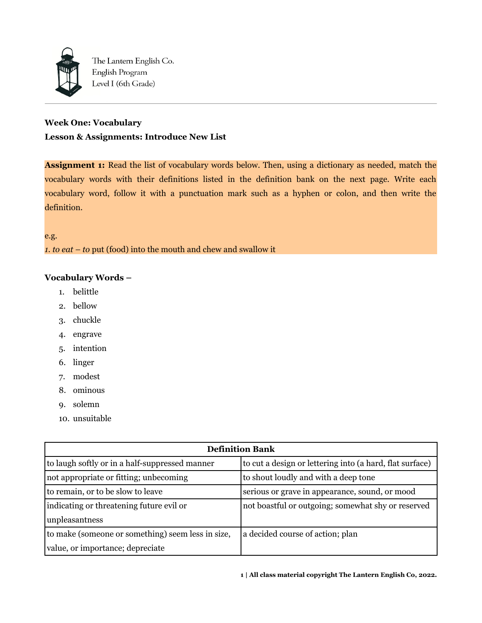

# **Week One: Vocabulary Lesson & Assignments: Introduce New List**

**Assignment 1:** Read the list of vocabulary words below. Then, using a dictionary as needed, match the vocabulary words with their definitions listed in the definition bank on the next page. Write each vocabulary word, follow it with a punctuation mark such as a hyphen or colon, and then write the definition.

e.g. *1. to eat – to* put (food) into the mouth and chew and swallow it

## **Vocabulary Words –**

- 1. belittle
- 2. bellow
- 3. chuckle
- 4. engrave
- 5. intention
- 6. linger
- 7. modest
- 8. ominous
- 9. solemn
- 10. unsuitable

| <b>Definition Bank</b>                            |                                                          |  |  |
|---------------------------------------------------|----------------------------------------------------------|--|--|
| to laugh softly or in a half-suppressed manner    | to cut a design or lettering into (a hard, flat surface) |  |  |
| not appropriate or fitting; unbecoming            | to shout loudly and with a deep tone                     |  |  |
| to remain, or to be slow to leave                 | serious or grave in appearance, sound, or mood           |  |  |
| indicating or threatening future evil or          | not boastful or outgoing; somewhat shy or reserved       |  |  |
| unpleasantness                                    |                                                          |  |  |
| to make (someone or something) seem less in size, | a decided course of action; plan                         |  |  |
| value, or importance; depreciate                  |                                                          |  |  |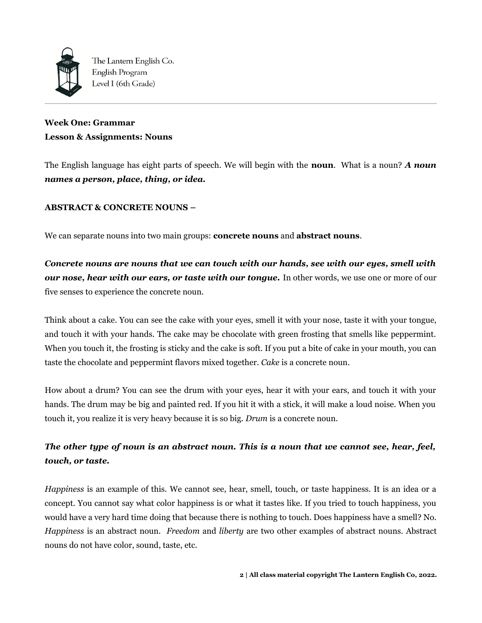

# **Week One: Grammar Lesson & Assignments: Nouns**

The English language has eight parts of speech. We will begin with the **noun**. What is a noun? *A noun names a person, place, thing, or idea.* 

## **ABSTRACT & CONCRETE NOUNS –**

We can separate nouns into two main groups: **concrete nouns** and **abstract nouns**.

*Concrete nouns are nouns that we can touch with our hands, see with our eyes, smell with our nose, hear with our ears, or taste with our tongue.* In other words, we use one or more of our five senses to experience the concrete noun.

Think about a cake. You can see the cake with your eyes, smell it with your nose, taste it with your tongue, and touch it with your hands. The cake may be chocolate with green frosting that smells like peppermint. When you touch it, the frosting is sticky and the cake is soft. If you put a bite of cake in your mouth, you can taste the chocolate and peppermint flavors mixed together. *Cake* is a concrete noun.

How about a drum? You can see the drum with your eyes, hear it with your ears, and touch it with your hands. The drum may be big and painted red. If you hit it with a stick, it will make a loud noise. When you touch it, you realize it is very heavy because it is so big. *Drum* is a concrete noun.

# *The other type of noun is an abstract noun. This is a noun that we cannot see, hear, feel, touch, or taste.*

*Happiness* is an example of this. We cannot see, hear, smell, touch, or taste happiness. It is an idea or a concept. You cannot say what color happiness is or what it tastes like. If you tried to touch happiness, you would have a very hard time doing that because there is nothing to touch. Does happiness have a smell? No. *Happiness* is an abstract noun. *Freedom* and *liberty* are two other examples of abstract nouns. Abstract nouns do not have color, sound, taste, etc.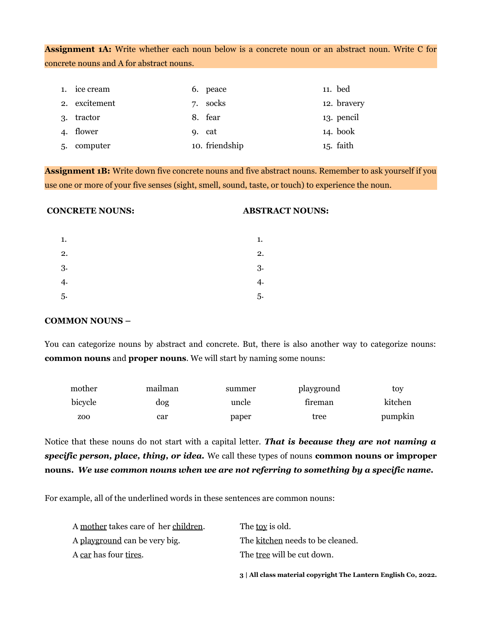**Assignment 1A:** Write whether each noun below is a concrete noun or an abstract noun. Write C for concrete nouns and A for abstract nouns.

| 1. ice cream  | 6. peace       | 11. bed     |
|---------------|----------------|-------------|
| 2. excitement | 7. socks       | 12. bravery |
| 3. tractor    | 8. fear        | 13. pencil  |
| 4. flower     | 9. cat         | 14. book    |
| 5. computer   | 10. friendship | 15. faith   |

**Assignment 1B:** Write down five concrete nouns and five abstract nouns. Remember to ask yourself if you use one or more of your five senses (sight, smell, sound, taste, or touch) to experience the noun.

## **CONCRETE NOUNS:**

#### **ABSTRACT NOUNS:**

| 1. | 1. |
|----|----|
| 2. | 2. |
| 3. | 3. |
| 4. | 4. |
| 5. | 5. |

### **COMMON NOUNS –**

You can categorize nouns by abstract and concrete. But, there is also another way to categorize nouns: **common nouns** and **proper nouns**. We will start by naming some nouns:

| mother  | mailman | summer | playground | tov     |
|---------|---------|--------|------------|---------|
| bicycle | dog     | uncle  | fireman    | kitchen |
| ZOO     | car     | paper  | tree       | pumpkin |

Notice that these nouns do not start with a capital letter. *That is because they are not naming a specific person, place, thing, or idea.* We call these types of nouns **common nouns or improper nouns.** *We use common nouns when we are not referring to something by a specific name.*

For example, all of the underlined words in these sentences are common nouns:

|                                      | 3   All class material copyright The Lantern English Co, 2022. |
|--------------------------------------|----------------------------------------------------------------|
| A car has four tires.                | The tree will be cut down.                                     |
| A playground can be very big.        | The kitchen needs to be cleaned.                               |
| A mother takes care of her children. | The <u>toy</u> is old.                                         |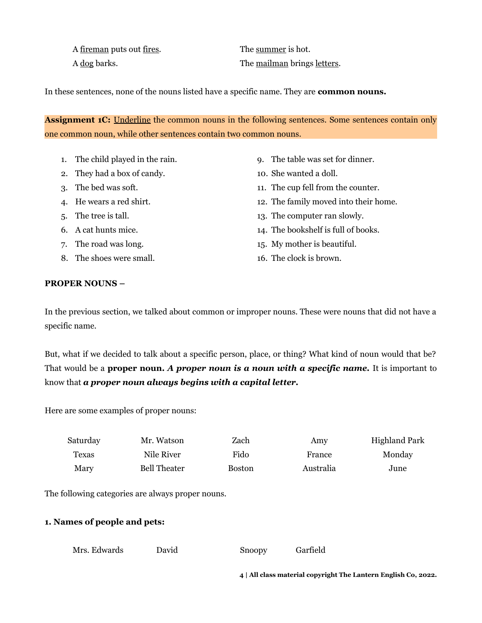A <u>fireman</u> puts out <u>fires</u>. The summer is hot.

A dog barks. The mailman brings letters.

In these sentences, none of the nouns listed have a specific name. They are **common nouns.** 

**Assignment 1C:** Underline the common nouns in the following sentences. Some sentences contain only one common noun, while other sentences contain two common nouns.

- 1. The child played in the rain.
- 2. They had a box of candy.
- 3. The bed was soft.
- 4. He wears a red shirt.
- 5. The tree is tall.
- 6. A cat hunts mice.
- 7. The road was long.
- 8. The shoes were small.
- 9. The table was set for dinner.
- 10. She wanted a doll.
- 11. The cup fell from the counter.
- 12. The family moved into their home.
- 13. The computer ran slowly.
- 14. The bookshelf is full of books.
- 15. My mother is beautiful.
- 16. The clock is brown.

## **PROPER NOUNS –**

In the previous section, we talked about common or improper nouns. These were nouns that did not have a specific name.

But, what if we decided to talk about a specific person, place, or thing? What kind of noun would that be? That would be a **proper noun.** *A proper noun is a noun with a specific name.* It is important to know that *a proper noun always begins with a capital letter.*

Here are some examples of proper nouns:

| Saturday | Mr. Watson          | Zach          | Amv       | <b>Highland Park</b> |
|----------|---------------------|---------------|-----------|----------------------|
| Texas    | Nile River          | Fido          | France    | Monday               |
| Mary     | <b>Bell Theater</b> | <b>Boston</b> | Australia | June                 |

The following categories are always proper nouns.

## **1. Names of people and pets:**

Mrs. Edwards David Snoopy Garfield

**4 | All class material copyright The Lantern English Co, 2022.**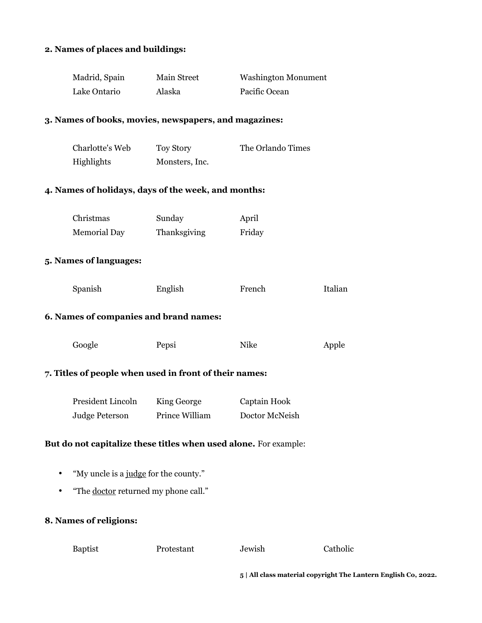## **2. Names of places and buildings:**

| Madrid, Spain | Main Street | <b>Washington Monument</b> |
|---------------|-------------|----------------------------|
| Lake Ontario  | Alaska      | Pacific Ocean              |

### **3. Names of books, movies, newspapers, and magazines:**

| Charlotte's Web | Toy Story      | The Orlando Times |
|-----------------|----------------|-------------------|
| Highlights      | Monsters, Inc. |                   |

#### **4. Names of holidays, days of the week, and months:**

| Christmas           | Sunday       | April  |
|---------------------|--------------|--------|
| <b>Memorial Day</b> | Thanksgiving | Friday |

#### **5. Names of languages:**

| Spanish | English | French | Italian |
|---------|---------|--------|---------|
|---------|---------|--------|---------|

#### **6. Names of companies and brand names:**

| Google | Pepsi | Nike | Apple |
|--------|-------|------|-------|
|--------|-------|------|-------|

## **7. Titles of people when used in front of their names:**

| President Lincoln     | King George    | Captain Hook   |
|-----------------------|----------------|----------------|
| <b>Judge Peterson</b> | Prince William | Doctor McNeish |

#### **But do not capitalize these titles when used alone.** For example:

- "My uncle is a judge for the county."
- "The <u>doctor</u> returned my phone call."

## **8. Names of religions:**

Baptist Protestant Jewish Catholic

**5 | All class material copyright The Lantern English Co, 2022.**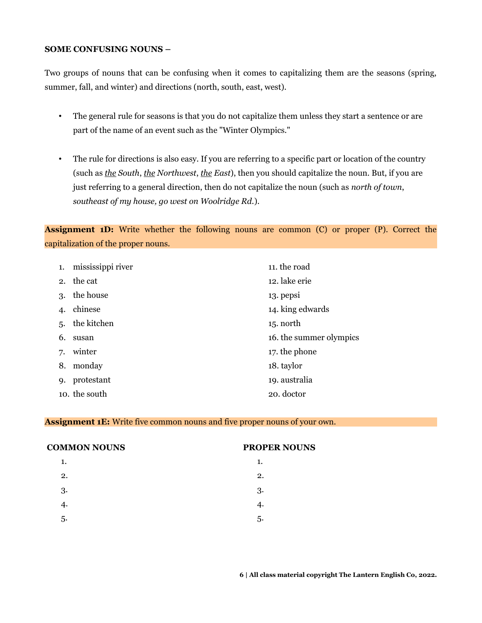### **SOME CONFUSING NOUNS –**

Two groups of nouns that can be confusing when it comes to capitalizing them are the seasons (spring, summer, fall, and winter) and directions (north, south, east, west).

- The general rule for seasons is that you do not capitalize them unless they start a sentence or are part of the name of an event such as the "Winter Olympics."
- The rule for directions is also easy. If you are referring to a specific part or location of the country (such as *the South*, *the Northwest*, *the East*), then you should capitalize the noun. But, if you are just referring to a general direction, then do not capitalize the noun (such as *north of town*, *southeast of my house, go west on Woolridge Rd.*).

**Assignment 1D:** Write whether the following nouns are common (C) or proper (P). Correct the capitalization of the proper nouns.

| 1. | mississippi river | 11. the road            |
|----|-------------------|-------------------------|
|    | 2. the cat        | 12. lake erie           |
| 3. | the house         | 13. pepsi               |
| 4. | chinese           | 14. king edwards        |
|    | 5. the kitchen    | 15. north               |
| 6. | susan             | 16. the summer olympics |
|    | 7. winter         | 17. the phone           |
| 8. | monday            | 18. taylor              |
|    | 9. protestant     | 19. australia           |
|    | 10. the south     | 20. doctor              |

#### **Assignment 1E:** Write five common nouns and five proper nouns of your own.

| <b>COMMON NOUNS</b> | <b>PROPER NOUNS</b> |  |
|---------------------|---------------------|--|
| 1.                  | 1.                  |  |
| 2.                  | 2.                  |  |
| 3.                  | 3.                  |  |
| 4.                  | 4.                  |  |
| 5.                  | 5.                  |  |
|                     |                     |  |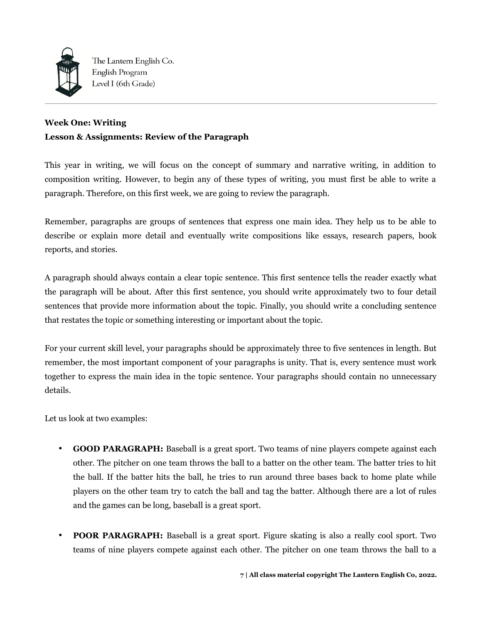

## **Week One: Writing Lesson & Assignments: Review of the Paragraph**

This year in writing, we will focus on the concept of summary and narrative writing, in addition to composition writing. However, to begin any of these types of writing, you must first be able to write a paragraph. Therefore, on this first week, we are going to review the paragraph.

Remember, paragraphs are groups of sentences that express one main idea. They help us to be able to describe or explain more detail and eventually write compositions like essays, research papers, book reports, and stories.

A paragraph should always contain a clear topic sentence. This first sentence tells the reader exactly what the paragraph will be about. After this first sentence, you should write approximately two to four detail sentences that provide more information about the topic. Finally, you should write a concluding sentence that restates the topic or something interesting or important about the topic.

For your current skill level, your paragraphs should be approximately three to five sentences in length. But remember, the most important component of your paragraphs is unity. That is, every sentence must work together to express the main idea in the topic sentence. Your paragraphs should contain no unnecessary details.

Let us look at two examples:

- **GOOD PARAGRAPH:** Baseball is a great sport. Two teams of nine players compete against each other. The pitcher on one team throws the ball to a batter on the other team. The batter tries to hit the ball. If the batter hits the ball, he tries to run around three bases back to home plate while players on the other team try to catch the ball and tag the batter. Although there are a lot of rules and the games can be long, baseball is a great sport.
- **POOR PARAGRAPH:** Baseball is a great sport. Figure skating is also a really cool sport. Two teams of nine players compete against each other. The pitcher on one team throws the ball to a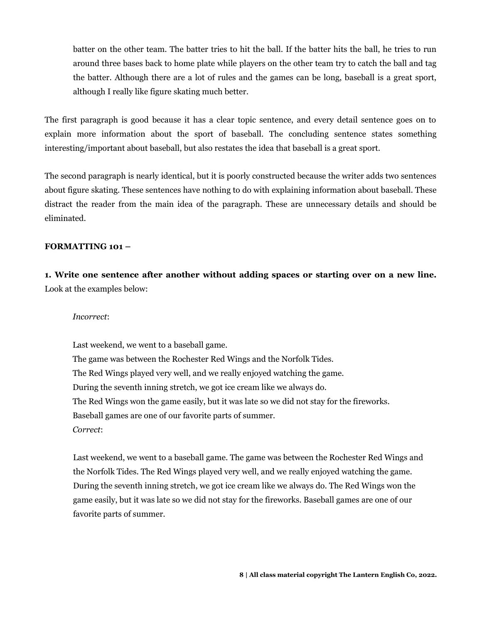batter on the other team. The batter tries to hit the ball. If the batter hits the ball, he tries to run around three bases back to home plate while players on the other team try to catch the ball and tag the batter. Although there are a lot of rules and the games can be long, baseball is a great sport, although I really like figure skating much better.

The first paragraph is good because it has a clear topic sentence, and every detail sentence goes on to explain more information about the sport of baseball. The concluding sentence states something interesting/important about baseball, but also restates the idea that baseball is a great sport.

The second paragraph is nearly identical, but it is poorly constructed because the writer adds two sentences about figure skating. These sentences have nothing to do with explaining information about baseball. These distract the reader from the main idea of the paragraph. These are unnecessary details and should be eliminated.

#### **FORMATTING 101 –**

**1. Write one sentence after another without adding spaces or starting over on a new line.** Look at the examples below:

#### *Incorrect*:

Last weekend, we went to a baseball game. The game was between the Rochester Red Wings and the Norfolk Tides. The Red Wings played very well, and we really enjoyed watching the game. During the seventh inning stretch, we got ice cream like we always do. The Red Wings won the game easily, but it was late so we did not stay for the fireworks. Baseball games are one of our favorite parts of summer. *Correct*:

Last weekend, we went to a baseball game. The game was between the Rochester Red Wings and the Norfolk Tides. The Red Wings played very well, and we really enjoyed watching the game. During the seventh inning stretch, we got ice cream like we always do. The Red Wings won the game easily, but it was late so we did not stay for the fireworks. Baseball games are one of our favorite parts of summer.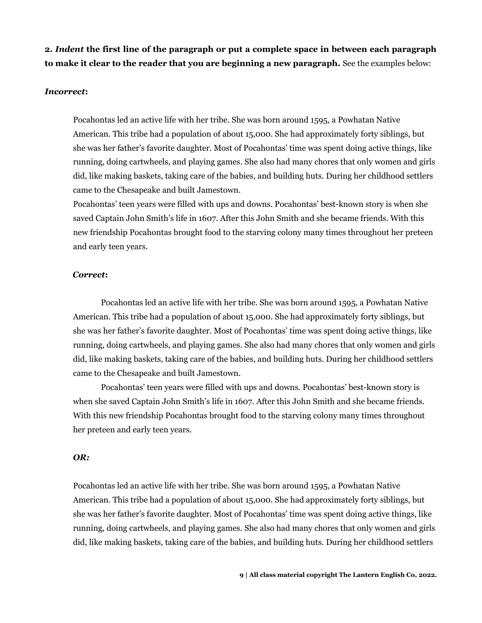**2.** *Indent* **the first line of the paragraph or put a complete space in between each paragraph to make it clear to the reader that you are beginning a new paragraph.** See the examples below:

#### *Incorrect***:**

Pocahontas led an active life with her tribe. She was born around 1595, a Powhatan Native American. This tribe had a population of about 15,000. She had approximately forty siblings, but she was her father's favorite daughter. Most of Pocahontas' time was spent doing active things, like running, doing cartwheels, and playing games. She also had many chores that only women and girls did, like making baskets, taking care of the babies, and building huts. During her childhood settlers came to the Chesapeake and built Jamestown.

Pocahontas' teen years were filled with ups and downs. Pocahontas' best-known story is when she saved Captain John Smith's life in 1607. After this John Smith and she became friends. With this new friendship Pocahontas brought food to the starving colony many times throughout her preteen and early teen years.

#### *Correct***:**

Pocahontas led an active life with her tribe. She was born around 1595, a Powhatan Native American. This tribe had a population of about 15,000. She had approximately forty siblings, but she was her father's favorite daughter. Most of Pocahontas' time was spent doing active things, like running, doing cartwheels, and playing games. She also had many chores that only women and girls did, like making baskets, taking care of the babies, and building huts. During her childhood settlers came to the Chesapeake and built Jamestown.

Pocahontas' teen years were filled with ups and downs. Pocahontas' best-known story is when she saved Captain John Smith's life in 1607. After this John Smith and she became friends. With this new friendship Pocahontas brought food to the starving colony many times throughout her preteen and early teen years.

#### *OR:*

Pocahontas led an active life with her tribe. She was born around 1595, a Powhatan Native American. This tribe had a population of about 15,000. She had approximately forty siblings, but she was her father's favorite daughter. Most of Pocahontas' time was spent doing active things, like running, doing cartwheels, and playing games. She also had many chores that only women and girls did, like making baskets, taking care of the babies, and building huts. During her childhood settlers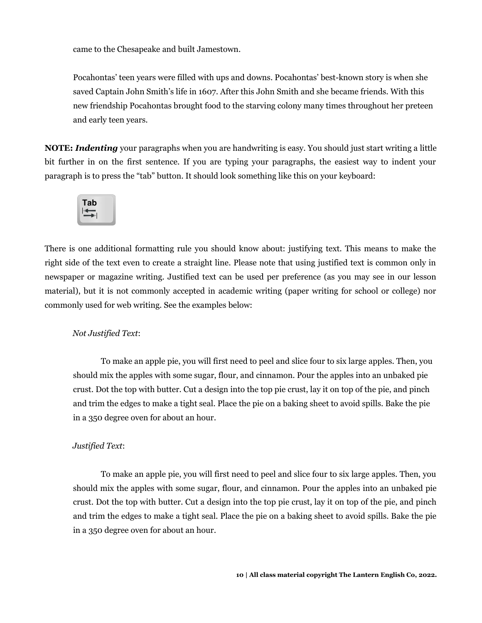came to the Chesapeake and built Jamestown.

Pocahontas' teen years were filled with ups and downs. Pocahontas' best-known story is when she saved Captain John Smith's life in 1607. After this John Smith and she became friends. With this new friendship Pocahontas brought food to the starving colony many times throughout her preteen and early teen years.

**NOTE:** *Indenting* your paragraphs when you are handwriting is easy. You should just start writing a little bit further in on the first sentence. If you are typing your paragraphs, the easiest way to indent your paragraph is to press the "tab" button. It should look something like this on your keyboard:



There is one additional formatting rule you should know about: justifying text. This means to make the right side of the text even to create a straight line. Please note that using justified text is common only in newspaper or magazine writing. Justified text can be used per preference (as you may see in our lesson material), but it is not commonly accepted in academic writing (paper writing for school or college) nor commonly used for web writing. See the examples below:

#### *Not Justified Text*:

To make an apple pie, you will first need to peel and slice four to six large apples. Then, you should mix the apples with some sugar, flour, and cinnamon. Pour the apples into an unbaked pie crust. Dot the top with butter. Cut a design into the top pie crust, lay it on top of the pie, and pinch and trim the edges to make a tight seal. Place the pie on a baking sheet to avoid spills. Bake the pie in a 350 degree oven for about an hour.

#### *Justified Text*:

To make an apple pie, you will first need to peel and slice four to six large apples. Then, you should mix the apples with some sugar, flour, and cinnamon. Pour the apples into an unbaked pie crust. Dot the top with butter. Cut a design into the top pie crust, lay it on top of the pie, and pinch and trim the edges to make a tight seal. Place the pie on a baking sheet to avoid spills. Bake the pie in a 350 degree oven for about an hour.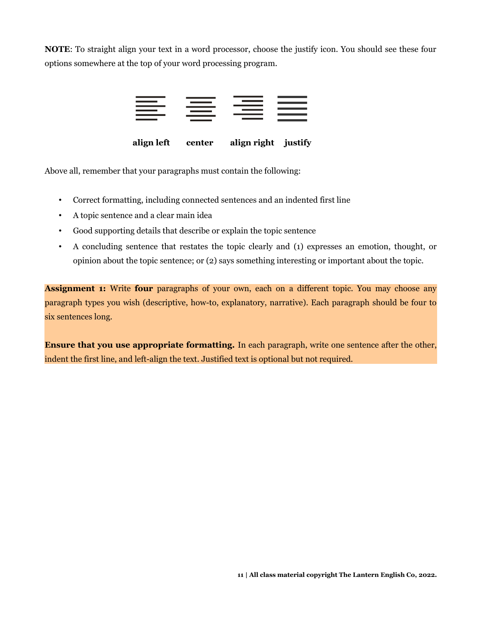**NOTE**: To straight align your text in a word processor, choose the justify icon. You should see these four options somewhere at the top of your word processing program.



 **align left center align right justify**

Above all, remember that your paragraphs must contain the following:

- Correct formatting, including connected sentences and an indented first line
- A topic sentence and a clear main idea
- Good supporting details that describe or explain the topic sentence
- A concluding sentence that restates the topic clearly and (1) expresses an emotion, thought, or opinion about the topic sentence; or (2) says something interesting or important about the topic.

**Assignment 1:** Write **four** paragraphs of your own, each on a different topic. You may choose any paragraph types you wish (descriptive, how-to, explanatory, narrative). Each paragraph should be four to six sentences long.

**Ensure that you use appropriate formatting.** In each paragraph, write one sentence after the other, indent the first line, and left-align the text. Justified text is optional but not required.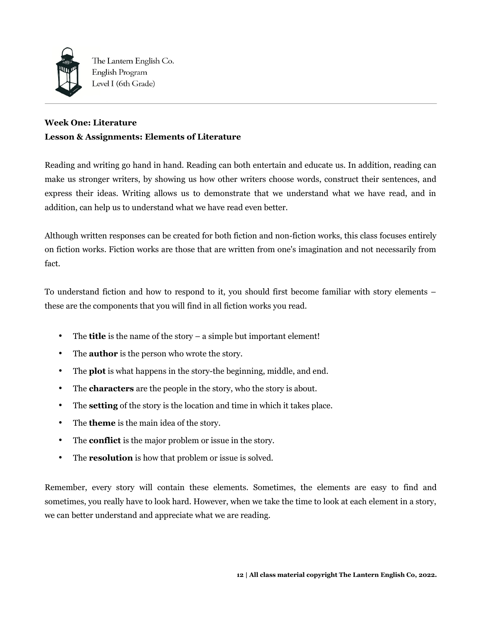

# **Week One: Literature Lesson & Assignments: Elements of Literature**

Reading and writing go hand in hand. Reading can both entertain and educate us. In addition, reading can make us stronger writers, by showing us how other writers choose words, construct their sentences, and express their ideas. Writing allows us to demonstrate that we understand what we have read, and in addition, can help us to understand what we have read even better.

Although written responses can be created for both fiction and non-fiction works, this class focuses entirely on fiction works. Fiction works are those that are written from one's imagination and not necessarily from fact.

To understand fiction and how to respond to it, you should first become familiar with story elements – these are the components that you will find in all fiction works you read.

- The **title** is the name of the story a simple but important element!
- The **author** is the person who wrote the story.
- The **plot** is what happens in the story-the beginning, middle, and end.
- The **characters** are the people in the story, who the story is about.
- The **setting** of the story is the location and time in which it takes place.
- The **theme** is the main idea of the story.
- The **conflict** is the major problem or issue in the story.
- The **resolution** is how that problem or issue is solved.

Remember, every story will contain these elements. Sometimes, the elements are easy to find and sometimes, you really have to look hard. However, when we take the time to look at each element in a story, we can better understand and appreciate what we are reading.